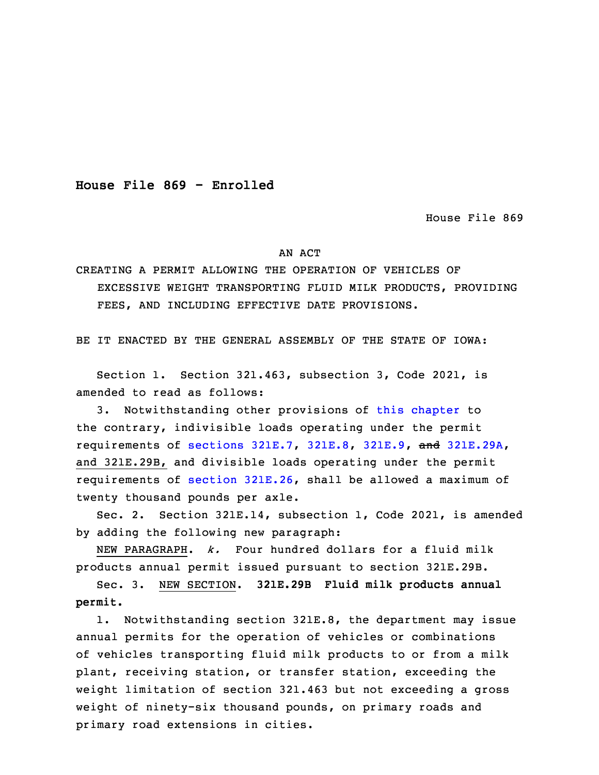**House File 869 - Enrolled**

House File 869

## AN ACT

## CREATING A PERMIT ALLOWING THE OPERATION OF VEHICLES OF EXCESSIVE WEIGHT TRANSPORTING FLUID MILK PRODUCTS, PROVIDING FEES, AND INCLUDING EFFECTIVE DATE PROVISIONS.

BE IT ENACTED BY THE GENERAL ASSEMBLY OF THE STATE OF IOWA:

 Section 1. Section 321.463, subsection 3, Code 2021, is amended to read as follows:

3 3. Notwithstanding other provisions of this [chapter](https://www.legis.iowa.gov/docs/code/2021/321.pdf) to the contrary, indivisible loads operating under the permit 5 requirements of [sections](https://www.legis.iowa.gov/docs/code/2021/321E.7.pdf) 321E.7, [321E.8](https://www.legis.iowa.gov/docs/code/2021/321E.8.pdf), [321E.9](https://www.legis.iowa.gov/docs/code/2021/321E.9.pdf), and [321E.29A](https://www.legis.iowa.gov/docs/code/2021/321E.29A.pdf), and 321E.29B, and divisible loads operating under the permit 7 requirements of section [321E.26](https://www.legis.iowa.gov/docs/code/2021/321E.26.pdf), shall be allowed <sup>a</sup> maximum of twenty thousand pounds per axle.

Sec. 2. Section 321E.14, subsection 1, Code 2021, is amended by adding the following new paragraph:

 NEW PARAGRAPH. *k.* Four hundred dollars for <sup>a</sup> fluid milk products annual permit issued pursuant to section 321E.29B.

13 Sec. 3. NEW SECTION. **321E.29B Fluid milk products annual permit.**

1. Notwithstanding section 321E.8, the department may issue annual permits for the operation of vehicles or combinations of vehicles transporting fluid milk products to or from a milk plant, receiving station, or transfer station, exceeding the weight limitation of section 321.463 but not exceeding a gross weight of ninety-six thousand pounds, on primary roads and primary road extensions in cities.